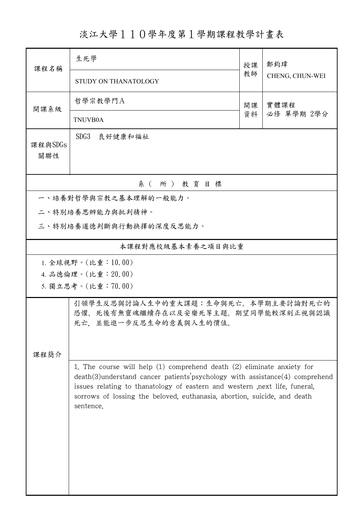## 淡江大學110學年度第1學期課程教學計畫表

| 課程名稱                  | 生死學                                                                                                                                                                                                                                                                                                                                      | 授課 | 鄭鈞瑋             |  |  |  |
|-----------------------|------------------------------------------------------------------------------------------------------------------------------------------------------------------------------------------------------------------------------------------------------------------------------------------------------------------------------------------|----|-----------------|--|--|--|
|                       | STUDY ON THANATOLOGY                                                                                                                                                                                                                                                                                                                     | 教師 | CHENG, CHUN-WEI |  |  |  |
| 開課系級                  | 哲學宗教學門A                                                                                                                                                                                                                                                                                                                                  | 開課 | 實體課程            |  |  |  |
|                       | <b>TNUVB0A</b>                                                                                                                                                                                                                                                                                                                           | 資料 | 必修 單學期 2學分      |  |  |  |
| 課程與SDGs<br>關聯性        | SDG3<br>良好健康和福祉                                                                                                                                                                                                                                                                                                                          |    |                 |  |  |  |
| 系(所)教育目標              |                                                                                                                                                                                                                                                                                                                                          |    |                 |  |  |  |
| 一、培養對哲學與宗教之基本理解的一般能力。 |                                                                                                                                                                                                                                                                                                                                          |    |                 |  |  |  |
| 二、特別培養思辨能力與批判精神。      |                                                                                                                                                                                                                                                                                                                                          |    |                 |  |  |  |
|                       | 三、特別培養道德判斷與行動抉擇的深度反思能力。                                                                                                                                                                                                                                                                                                                  |    |                 |  |  |  |
| 本課程對應校級基本素養之項目與比重     |                                                                                                                                                                                                                                                                                                                                          |    |                 |  |  |  |
|                       | 1. 全球視野。(比重:10.00)                                                                                                                                                                                                                                                                                                                       |    |                 |  |  |  |
|                       | 4. 品德倫理。(比重: 20.00)                                                                                                                                                                                                                                                                                                                      |    |                 |  |  |  |
| 5. 獨立思考。(比重:70.00)    |                                                                                                                                                                                                                                                                                                                                          |    |                 |  |  |  |
| 課程簡介                  | 引領學生反思與討論人生中的重大課題:生命與死亡。本學期主要討論對死亡的<br>恐懼、死後有無靈魂繼續存在以及安樂死等主題。期望同學能較深刻正視與認識<br>死亡, 並能進一步反思生命的意義與人生的價值。                                                                                                                                                                                                                                    |    |                 |  |  |  |
|                       | 1. The course will help $(1)$ comprehend death $(2)$ eliminate anxiety for<br>$death(3)$ understand cancer patients' psychology with assistance $(4)$ comprehend<br>issues relating to thanatology of eastern and western , next life, funeral,<br>sorrows of lossing the beloved, euthanasia, abortion, suicide, and death<br>sentence. |    |                 |  |  |  |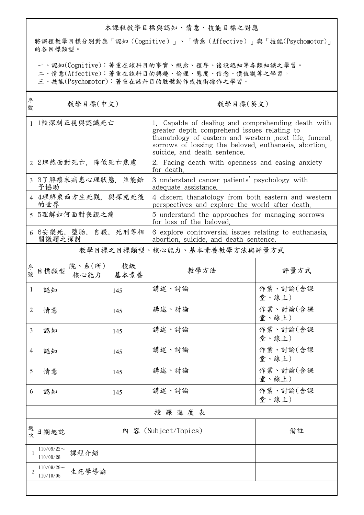## 本課程教學目標與認知、情意、技能目標之對應

將課程教學目標分別對應「認知(Cognitive)」、「情意(Affective)」與「技能(Psychomotor)」 的各目標類型。

一、認知(Cognitive):著重在該科目的事實、概念、程序、後設認知等各類知識之學習。

二、情意(Affective):著重在該科目的興趣、倫理、態度、信念、價值觀等之學習。

三、技能(Psychomotor):著重在該科目的肢體動作或技術操作之學習。

| 序<br>號       | 教學目標(中文)                            |                                 |     | 教學目標(英文)                                                                                                                                                                                                                                               |                   |  |
|--------------|-------------------------------------|---------------------------------|-----|--------------------------------------------------------------------------------------------------------------------------------------------------------------------------------------------------------------------------------------------------------|-------------------|--|
|              | 1較深刻正視與認識死亡                         |                                 |     | 1. Capable of dealing and comprehending death with<br>greater depth comprehend issues relating to<br>thanatology of eastern and western , next life, funeral,<br>sorrows of lossing the beloved, euthanasia, abortion,<br>suicide, and death sentence. |                   |  |
|              | 2 2坦然面對死亡,降低死亡焦慮                    |                                 |     | 2. Facing death with openness and easing anxiety<br>for death.                                                                                                                                                                                         |                   |  |
|              | 3 3了解癌末病患心理狀態,並能給<br>予協助            |                                 |     | 3 understand cancer patients' psychology with<br>adequate assistance.                                                                                                                                                                                  |                   |  |
|              | 4 4理解東西方生死觀,與探究死後<br>的世界            |                                 |     | 4 discern thanatology from both eastern and western<br>perspectives and explore the world after death.                                                                                                                                                 |                   |  |
|              | 5 5理解如何面對喪親之痛                       |                                 |     | 5 understand the approaches for managing sorrows<br>for loss of the beloved.                                                                                                                                                                           |                   |  |
|              | 6 6 安樂死、墮胎、自殺、死刑等相<br>關議題之探討        |                                 |     | 6 explore controversial issues relating to euthanasia,<br>abortion, suicide, and death sentence.                                                                                                                                                       |                   |  |
|              |                                     |                                 |     | 教學目標之目標類型、核心能力、基本素養教學方法與評量方式                                                                                                                                                                                                                           |                   |  |
| 序號           | 目標類型                                | 院、系 $(\kappa)$  <br>核心能力   基本素養 | 校級  | 教學方法                                                                                                                                                                                                                                                   | 評量方式              |  |
| $\mathbf{1}$ | 認知                                  |                                 | 145 | 講述、討論                                                                                                                                                                                                                                                  | 作業、討論(含課<br>堂、線上) |  |
| 2            | 情意                                  |                                 | 145 | 講述、討論                                                                                                                                                                                                                                                  | 作業、討論(含課<br>堂、線上) |  |
| 3            | 認知                                  |                                 | 145 | 講述、討論                                                                                                                                                                                                                                                  | 作業、討論(含課<br>堂、線上) |  |
| 4            | 認知                                  |                                 | 145 | 講述、討論                                                                                                                                                                                                                                                  | 作業、討論(含課<br>堂、線上) |  |
| 5            | 情意                                  |                                 | 145 | 講述、討論                                                                                                                                                                                                                                                  | 作業、討論(含課<br>堂、線上) |  |
| 6            | 認知                                  |                                 | 145 | 講述、討論                                                                                                                                                                                                                                                  | 作業、討論(含課<br>堂、線上) |  |
|              | 授課進度表                               |                                 |     |                                                                                                                                                                                                                                                        |                   |  |
| 週次           | 日期起訖                                |                                 |     | 內 容 (Subject/Topics)                                                                                                                                                                                                                                   | 備註                |  |
|              | $110/09/22$ ~<br>110/09/28          | 課程介紹                            |     |                                                                                                                                                                                                                                                        |                   |  |
| 2            | $110/09/29$ ~<br>生死學導論<br>110/10/05 |                                 |     |                                                                                                                                                                                                                                                        |                   |  |
|              |                                     |                                 |     |                                                                                                                                                                                                                                                        |                   |  |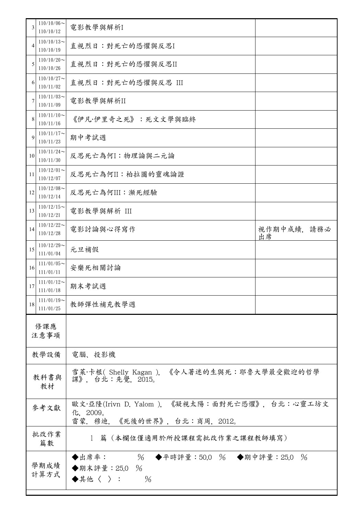| 3                                           | $110/10/06$ ~<br>110/10/12          | 電影教學與解析I                                                                                     |                  |  |
|---------------------------------------------|-------------------------------------|----------------------------------------------------------------------------------------------|------------------|--|
| 4                                           | $110/10/13$ ~<br>110/10/19          | 直視烈日:對死亡的恐懼與反思I                                                                              |                  |  |
| 5                                           | $110/10/20$ ~<br>110/10/26          | 直視烈日:對死亡的恐懼與反思II                                                                             |                  |  |
| 6                                           | $110/10/27$ ~<br>110/11/02          | 直視烈日:對死亡的恐懼與反思 III                                                                           |                  |  |
| 7                                           | $110/11/03$ ~<br>110/11/09          | 電影教學與解析II                                                                                    |                  |  |
| 8                                           | $110/11/10$ ~<br>110/11/16          | 《伊凡·伊里奇之死》:死文文學與臨終                                                                           |                  |  |
| 9                                           | $110/11/17$ ~<br>110/11/23          | 期中考試週                                                                                        |                  |  |
| 10                                          | $110/11/24$ ~<br>110/11/30          | 反思死亡為何I:物理論與二元論                                                                              |                  |  |
| 11                                          | $110/12/01$ ~<br>110/12/07          | 反思死亡為何II:柏拉圖的靈魂論證                                                                            |                  |  |
| 12                                          | $110/12/08$ ~<br>110/12/14          | 反思死亡為何III:瀕死經驗                                                                               |                  |  |
| 13                                          | $110/12/15$ ~<br>110/12/21          | 電影教學與解析 III                                                                                  |                  |  |
| 14                                          | $110/12/22$ ~<br>110/12/28          | 電影討論與心得寫作                                                                                    | 視作期中成績,請務必<br>出席 |  |
| 15                                          | $110/12/29$ ~<br>111/01/04          | 元旦補假                                                                                         |                  |  |
| 16                                          | $111/01/05$ ~<br>111/01/11          | 安樂死相關討論                                                                                      |                  |  |
| 17                                          | $111/01/12$ ~<br>期末考試週<br>111/01/18 |                                                                                              |                  |  |
| 18                                          | $111/01/19$ ~<br>111/01/25          | 教師彈性補充教學週                                                                                    |                  |  |
|                                             | 修課應<br>注意事項                         |                                                                                              |                  |  |
| 教學設備                                        |                                     | 電腦、投影機                                                                                       |                  |  |
| 教科書與<br>教材                                  |                                     | 雪萊·卡根( Shelly Kagan ), 《令人著迷的生與死:耶魯大學最受歡迎的哲學<br>課》, 台北:先覺, 2015。                             |                  |  |
| 參考文獻                                        |                                     | 歐文·亞隆(Irivn D. Yalom ), 《凝視太陽:面對死亡恐懼》, 台北:心靈工坊文<br>化, 2009。<br>雷蒙. 穆迪, 《死後的世界》, 台北:商周, 2012。 |                  |  |
| 批改作業<br>1 篇 (本欄位僅適用於所授課程需批改作業之課程教師填寫)<br>篇數 |                                     |                                                                                              |                  |  |
| 學期成績<br>計算方式                                |                                     | % ◆平時評量:50.0 % ◆期中評量:25.0 %<br>◆出席率:<br>◆期末評量:25.0 %<br>$\%$<br>$\blacklozenge$ 其他〈 〉 :      |                  |  |